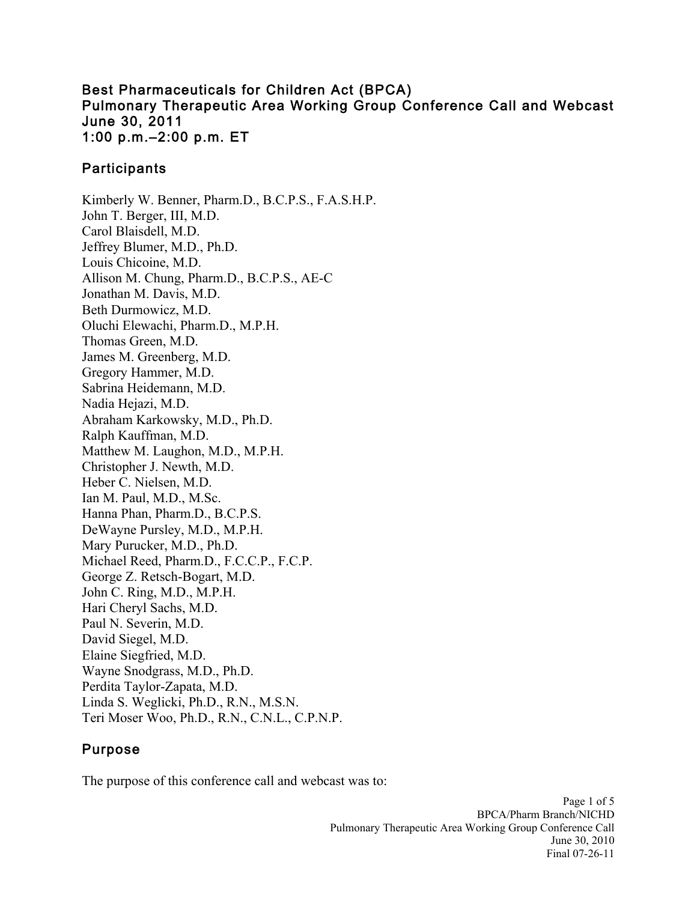#### Best Pharmaceuticals for Children Act (BPCA) Pulmonary Therapeutic Area Working Group Conference Call and Webcast June 30, 2011 1:00 p.m.–2:00 p.m. ET

## **Participants**

Kimberly W. Benner, Pharm.D., B.C.P.S., F.A.S.H.P. John T. Berger, III, M.D. Carol Blaisdell, M.D. Jeffrey Blumer, M.D., Ph.D. Louis Chicoine, M.D. Allison M. Chung, Pharm.D., B.C.P.S., AE-C Jonathan M. Davis, M.D. Beth Durmowicz, M.D. Oluchi Elewachi, Pharm.D., M.P.H. Thomas Green, M.D. James M. Greenberg, M.D. Gregory Hammer, M.D. Sabrina Heidemann, M.D. Nadia Hejazi, M.D. Abraham Karkowsky, M.D., Ph.D. Ralph Kauffman, M.D. Matthew M. Laughon, M.D., M.P.H. Christopher J. Newth, M.D. Heber C. Nielsen, M.D. Ian M. Paul, M.D., M.Sc. Hanna Phan, Pharm.D., B.C.P.S. DeWayne Pursley, M.D., M.P.H. Mary Purucker, M.D., Ph.D. Michael Reed, Pharm.D., F.C.C.P., F.C.P. George Z. Retsch-Bogart, M.D. John C. Ring, M.D., M.P.H. Hari Cheryl Sachs, M.D. Paul N. Severin, M.D. David Siegel, M.D. Elaine Siegfried, M.D. Wayne Snodgrass, M.D., Ph.D. Perdita Taylor-Zapata, M.D. Linda S. Weglicki, Ph.D., R.N., M.S.N. Teri Moser Woo, Ph.D., R.N., C.N.L., C.P.N.P.

# Purpose

The purpose of this conference call and webcast was to: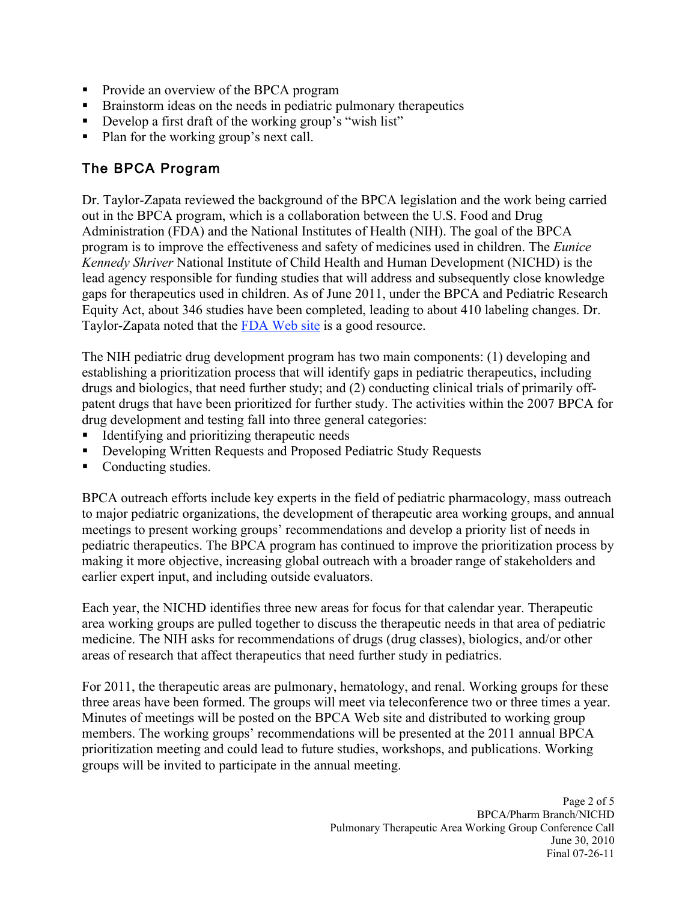- Provide an overview of the BPCA program
- **Brainstorm ideas on the needs in pediatric pulmonary therapeutics**
- Develop a first draft of the working group's "wish list"
- Plan for the working group's next call.

# The BPCA Program

Dr. Taylor-Zapata reviewed the background of the BPCA legislation and the work being carried out in the BPCA program, which is a collaboration between the U.S. Food and Drug Administration (FDA) and the National Institutes of Health (NIH). The goal of the BPCA program is to improve the effectiveness and safety of medicines used in children. The *Eunice Kennedy Shriver* National Institute of Child Health and Human Development (NICHD) is the lead agency responsible for funding studies that will address and subsequently close knowledge gaps for therapeutics used in children. As of June 2011, under the BPCA and Pediatric Research Equity Act, about 346 studies have been completed, leading to about 410 labeling changes. Dr. Taylor-Zapata noted that the FDA Web site is a good resource.

The NIH pediatric drug development program has two main components: (1) developing and establishing a prioritization process that will identify gaps in pediatric therapeutics, including drugs and biologics, that need further study; and (2) conducting clinical trials of primarily offpatent drugs that have been prioritized for further study. The activities within the 2007 BPCA for drug development and testing fall into three general categories:

- Identifying and prioritizing therapeutic needs
- Developing Written Requests and Proposed Pediatric Study Requests
- Conducting studies.

BPCA outreach efforts include key experts in the field of pediatric pharmacology, mass outreach to major pediatric organizations, the development of therapeutic area working groups, and annual meetings to present working groups' recommendations and develop a priority list of needs in pediatric therapeutics. The BPCA program has continued to improve the prioritization process by making it more objective, increasing global outreach with a broader range of stakeholders and earlier expert input, and including outside evaluators.

Each year, the NICHD identifies three new areas for focus for that calendar year. Therapeutic area working groups are pulled together to discuss the therapeutic needs in that area of pediatric medicine. The NIH asks for recommendations of drugs (drug classes), biologics, and/or other areas of research that affect therapeutics that need further study in pediatrics.

For 2011, the therapeutic areas are pulmonary, hematology, and renal. Working groups for these three areas have been formed. The groups will meet via teleconference two or three times a year. Minutes of meetings will be posted on the BPCA Web site and distributed to working group members. The working groups' recommendations will be presented at the 2011 annual BPCA prioritization meeting and could lead to future studies, workshops, and publications. Working groups will be invited to participate in the annual meeting.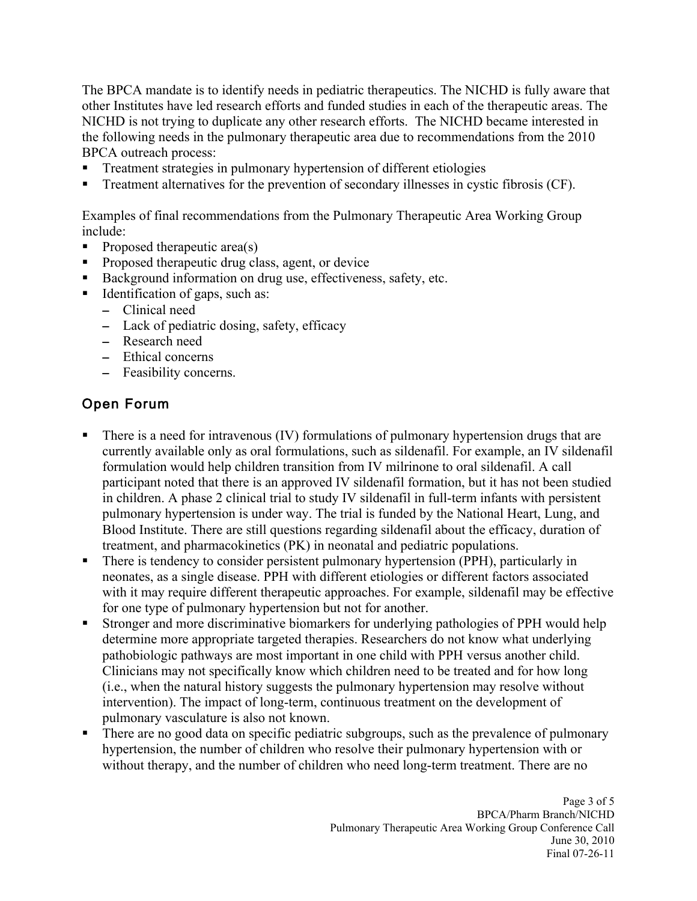The BPCA mandate is to identify needs in pediatric therapeutics. The NICHD is fully aware that other Institutes have led research efforts and funded studies in each of the therapeutic areas. The NICHD is not trying to duplicate any other research efforts. The NICHD became interested in the following needs in the pulmonary therapeutic area due to recommendations from the 2010 BPCA outreach process:

- Treatment strategies in pulmonary hypertension of different etiologies
- Treatment alternatives for the prevention of secondary illnesses in cystic fibrosis (CF).

Examples of final recommendations from the Pulmonary Therapeutic Area Working Group include:

- Proposed therapeutic area(s)
- **Proposed therapeutic drug class, agent, or device**
- Background information on drug use, effectiveness, safety, etc.
- Identification of gaps, such as:
	- – Clinical need
	- – Lack of pediatric dosing, safety, efficacy
	- Research need
	- – Ethical concerns
	- – Feasibility concerns.

# Open Forum

- There is a need for intravenous (IV) formulations of pulmonary hypertension drugs that are currently available only as oral formulations, such as sildenafil. For example, an IV sildenafil formulation would help children transition from IV milrinone to oral sildenafil. A call participant noted that there is an approved IV sildenafil formation, but it has not been studied in children. A phase 2 clinical trial to study IV sildenafil in full-term infants with persistent pulmonary hypertension is under way. The trial is funded by the National Heart, Lung, and Blood Institute. There are still questions regarding sildenafil about the efficacy, duration of treatment, and pharmacokinetics (PK) in neonatal and pediatric populations.
- There is tendency to consider persistent pulmonary hypertension (PPH), particularly in neonates, as a single disease. PPH with different etiologies or different factors associated with it may require different therapeutic approaches. For example, sildenafil may be effective for one type of pulmonary hypertension but not for another.
- Stronger and more discriminative biomarkers for underlying pathologies of PPH would help determine more appropriate targeted therapies. Researchers do not know what underlying pathobiologic pathways are most important in one child with PPH versus another child. Clinicians may not specifically know which children need to be treated and for how long (i.e., when the natural history suggests the pulmonary hypertension may resolve without intervention). The impact of long-term, continuous treatment on the development of pulmonary vasculature is also not known.
- There are no good data on specific pediatric subgroups, such as the prevalence of pulmonary hypertension, the number of children who resolve their pulmonary hypertension with or without therapy, and the number of children who need long-term treatment. There are no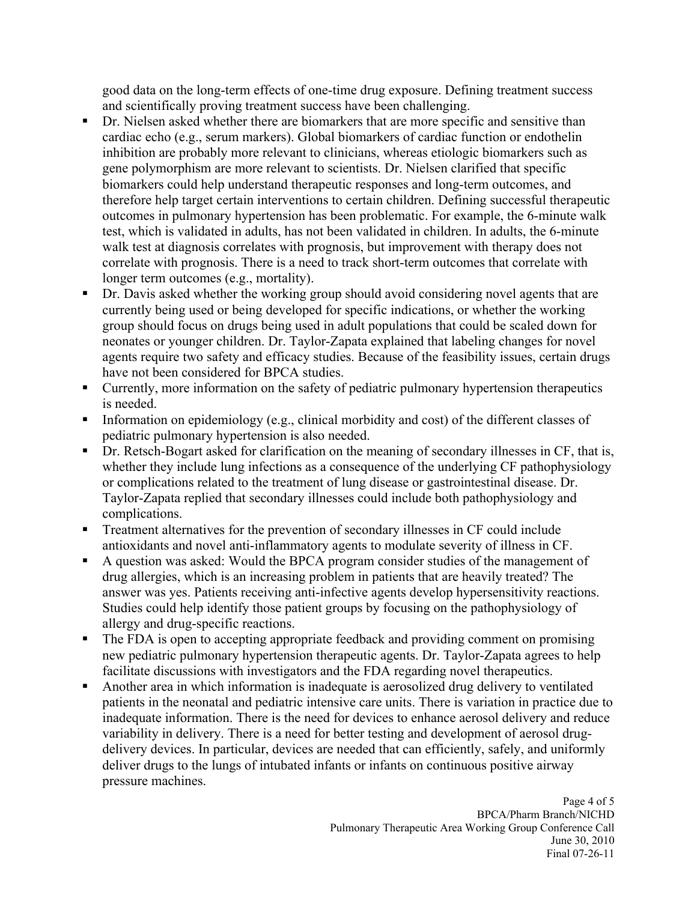good data on the long-term effects of one-time drug exposure. Defining treatment success and scientifically proving treatment success have been challenging.

- Dr. Nielsen asked whether there are biomarkers that are more specific and sensitive than cardiac echo (e.g., serum markers). Global biomarkers of cardiac function or endothelin inhibition are probably more relevant to clinicians, whereas etiologic biomarkers such as gene polymorphism are more relevant to scientists. Dr. Nielsen clarified that specific biomarkers could help understand therapeutic responses and long-term outcomes, and therefore help target certain interventions to certain children. Defining successful therapeutic outcomes in pulmonary hypertension has been problematic. For example, the 6-minute walk test, which is validated in adults, has not been validated in children. In adults, the 6-minute walk test at diagnosis correlates with prognosis, but improvement with therapy does not correlate with prognosis. There is a need to track short-term outcomes that correlate with longer term outcomes (e.g., mortality).
- Dr. Davis asked whether the working group should avoid considering novel agents that are currently being used or being developed for specific indications, or whether the working group should focus on drugs being used in adult populations that could be scaled down for neonates or younger children. Dr. Taylor-Zapata explained that labeling changes for novel agents require two safety and efficacy studies. Because of the feasibility issues, certain drugs have not been considered for BPCA studies.
- Currently, more information on the safety of pediatric pulmonary hypertension therapeutics is needed.
- Information on epidemiology (e.g., clinical morbidity and cost) of the different classes of pediatric pulmonary hypertension is also needed.
- Dr. Retsch-Bogart asked for clarification on the meaning of secondary illnesses in CF, that is, whether they include lung infections as a consequence of the underlying CF pathophysiology or complications related to the treatment of lung disease or gastrointestinal disease. Dr. Taylor-Zapata replied that secondary illnesses could include both pathophysiology and complications.
- Treatment alternatives for the prevention of secondary illnesses in CF could include antioxidants and novel anti-inflammatory agents to modulate severity of illness in CF.
- A question was asked: Would the BPCA program consider studies of the management of drug allergies, which is an increasing problem in patients that are heavily treated? The answer was yes. Patients receiving anti-infective agents develop hypersensitivity reactions. Studies could help identify those patient groups by focusing on the pathophysiology of allergy and drug-specific reactions.
- The FDA is open to accepting appropriate feedback and providing comment on promising new pediatric pulmonary hypertension therapeutic agents. Dr. Taylor-Zapata agrees to help facilitate discussions with investigators and the FDA regarding novel therapeutics.
- Another area in which information is inadequate is aerosolized drug delivery to ventilated patients in the neonatal and pediatric intensive care units. There is variation in practice due to inadequate information. There is the need for devices to enhance aerosol delivery and reduce variability in delivery. There is a need for better testing and development of aerosol drugdelivery devices. In particular, devices are needed that can efficiently, safely, and uniformly deliver drugs to the lungs of intubated infants or infants on continuous positive airway pressure machines.